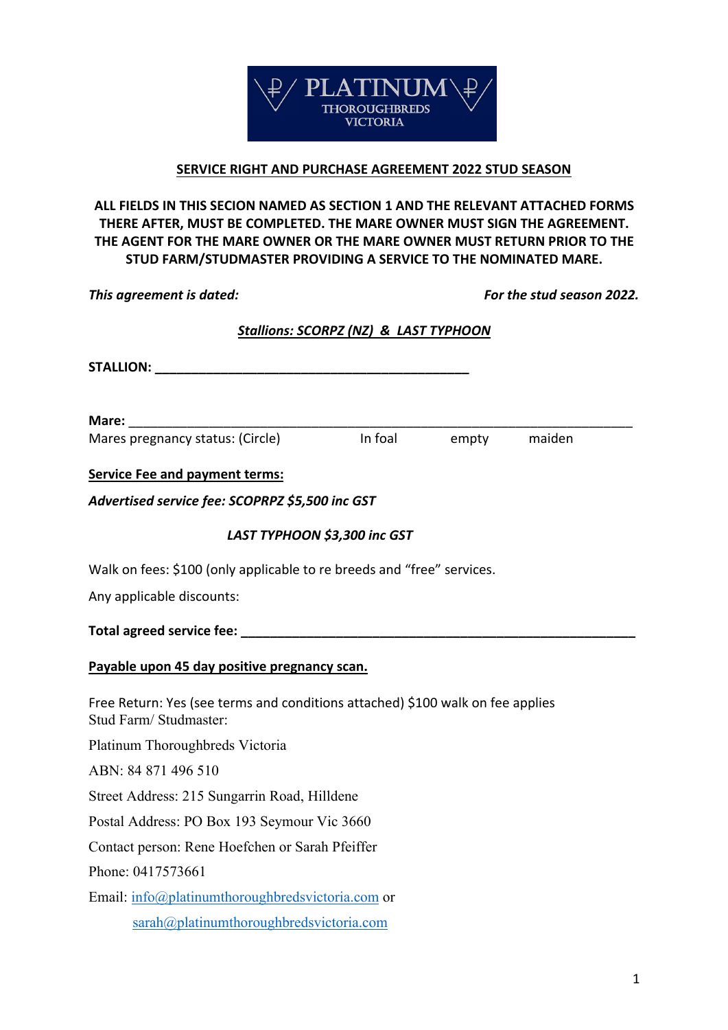

## **SERVICE RIGHT AND PURCHASE AGREEMENT 2022 STUD SEASON**

**ALL FIELDS IN THIS SECION NAMED AS SECTION 1 AND THE RELEVANT ATTACHED FORMS THERE AFTER, MUST BE COMPLETED. THE MARE OWNER MUST SIGN THE AGREEMENT. THE AGENT FOR THE MARE OWNER OR THE MARE OWNER MUST RETURN PRIOR TO THE STUD FARM/STUDMASTER PROVIDING A SERVICE TO THE NOMINATED MARE.**

*This agreement is dated: For the stud season 2022.* 

# *Stallions: SCORPZ (NZ) & LAST TYPHOON*

| Mare: and the state of the state of the state of the state of the state of the state of the state of the state of the state of the state of the state of the state of the state of the state of the state of the state of the |         |              |
|-------------------------------------------------------------------------------------------------------------------------------------------------------------------------------------------------------------------------------|---------|--------------|
| Mares pregnancy status: (Circle)                                                                                                                                                                                              | In foal | empty maiden |
| <b>Service Fee and payment terms:</b>                                                                                                                                                                                         |         |              |
| Advertised service fee: SCOPRPZ \$5,500 inc GST                                                                                                                                                                               |         |              |
| LAST TYPHOON \$3,300 inc GST                                                                                                                                                                                                  |         |              |
| Walk on fees: \$100 (only applicable to re breeds and "free" services.                                                                                                                                                        |         |              |
| Any applicable discounts:                                                                                                                                                                                                     |         |              |
|                                                                                                                                                                                                                               |         |              |
| Payable upon 45 day positive pregnancy scan.                                                                                                                                                                                  |         |              |
| Free Return: Yes (see terms and conditions attached) \$100 walk on fee applies<br>Stud Farm/ Studmaster:                                                                                                                      |         |              |
| Platinum Thoroughbreds Victoria                                                                                                                                                                                               |         |              |
| ABN: 84 871 496 510                                                                                                                                                                                                           |         |              |
| Street Address: 215 Sungarrin Road, Hilldene                                                                                                                                                                                  |         |              |
| Postal Address: PO Box 193 Seymour Vic 3660                                                                                                                                                                                   |         |              |
| Contact person: Rene Hoefchen or Sarah Pfeiffer                                                                                                                                                                               |         |              |
| Phone: 0417573661                                                                                                                                                                                                             |         |              |
| Email: info@platinumthoroughbredsvictoria.com or                                                                                                                                                                              |         |              |
| sarah@platinumthoroughbredsvictoria.com                                                                                                                                                                                       |         |              |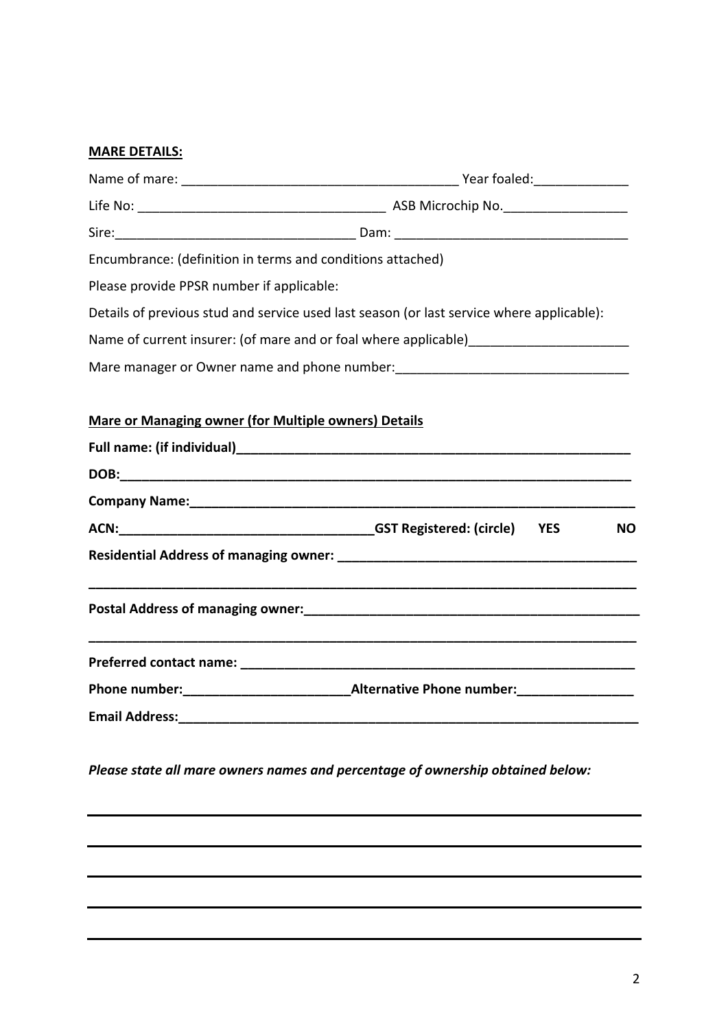# **MARE DETAILS:**

| Encumbrance: (definition in terms and conditions attached)  |                                                                                           |  |  |
|-------------------------------------------------------------|-------------------------------------------------------------------------------------------|--|--|
| Please provide PPSR number if applicable:                   |                                                                                           |  |  |
|                                                             | Details of previous stud and service used last season (or last service where applicable): |  |  |
|                                                             | Name of current insurer: (of mare and or foal where applicable)________________________   |  |  |
|                                                             | Mare manager or Owner name and phone number: ___________________________________          |  |  |
| <b>Mare or Managing owner (for Multiple owners) Details</b> |                                                                                           |  |  |
|                                                             |                                                                                           |  |  |
|                                                             |                                                                                           |  |  |
|                                                             |                                                                                           |  |  |
|                                                             | <b>NO</b>                                                                                 |  |  |
|                                                             |                                                                                           |  |  |
|                                                             |                                                                                           |  |  |
|                                                             |                                                                                           |  |  |
|                                                             |                                                                                           |  |  |
| Email Address:                                              |                                                                                           |  |  |
|                                                             | Please state all mare owners names and percentage of ownership obtained below:            |  |  |
|                                                             |                                                                                           |  |  |
|                                                             |                                                                                           |  |  |
|                                                             |                                                                                           |  |  |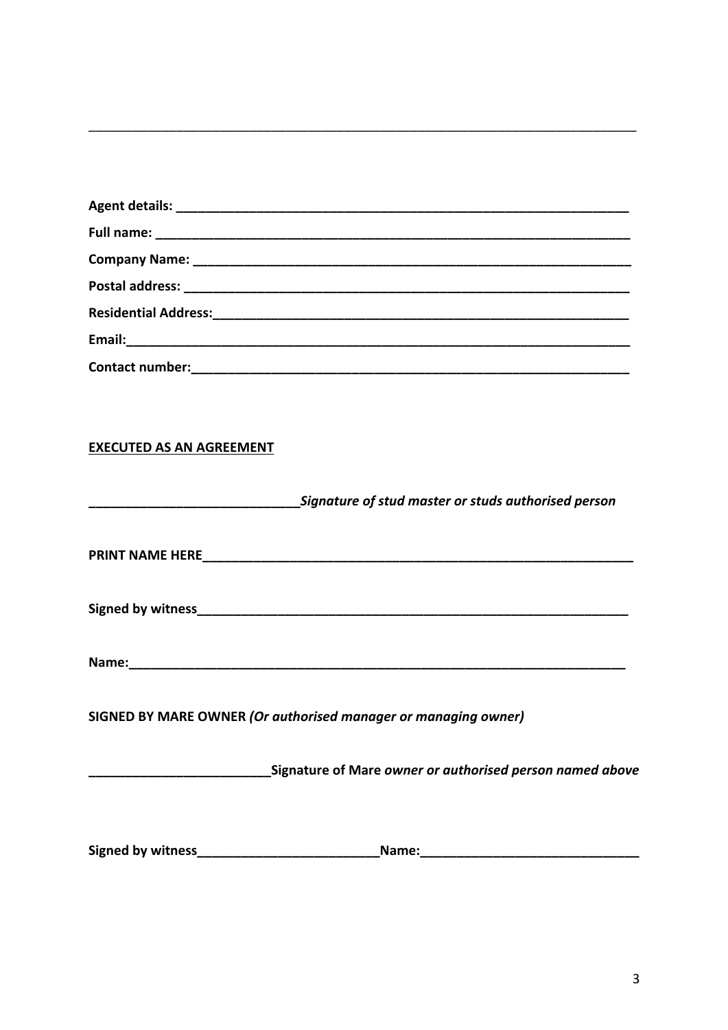| <b>EXECUTED AS AN AGREEMENT</b> |                                                     |
|---------------------------------|-----------------------------------------------------|
|                                 |                                                     |
|                                 | Signature of stud master or studs authorised person |
|                                 |                                                     |
|                                 |                                                     |
|                                 |                                                     |

| <b>Signed by witness</b> |  |  |
|--------------------------|--|--|
|                          |  |  |

| Name:<br>_____________________________ |
|----------------------------------------|
|----------------------------------------|

SIGNED BY MARE OWNER (Or authorised manager or managing owner)

| <b>Signed by witness</b><br><b>Name:</b> |  |
|------------------------------------------|--|
|------------------------------------------|--|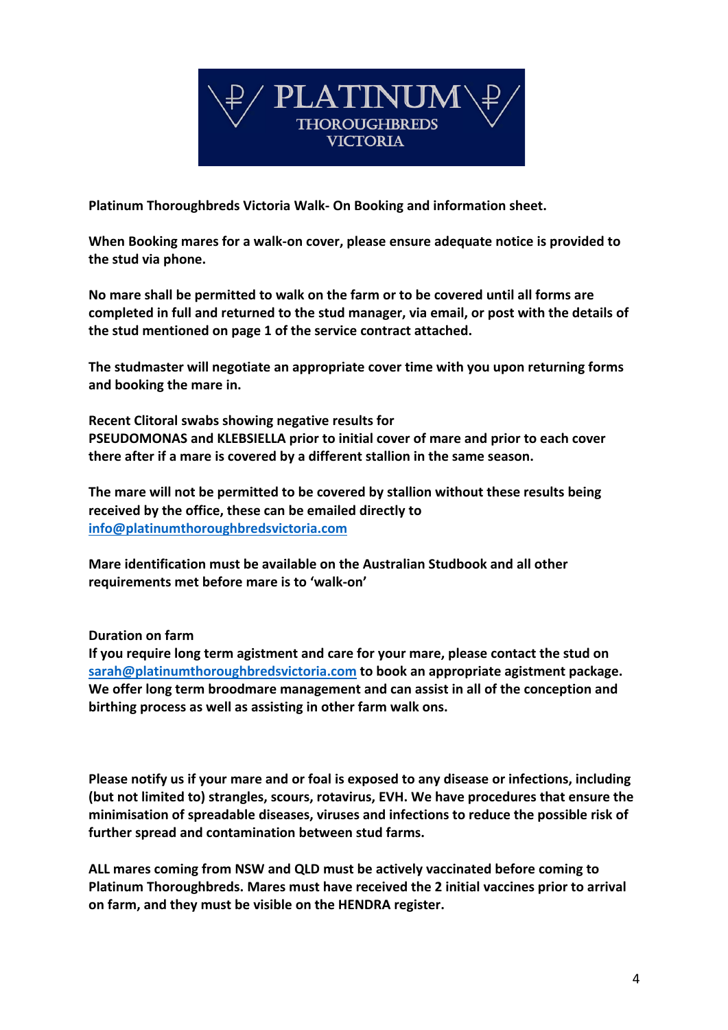

**Platinum Thoroughbreds Victoria Walk- On Booking and information sheet.** 

**When Booking mares for a walk-on cover, please ensure adequate notice is provided to the stud via phone.** 

**No mare shall be permitted to walk on the farm or to be covered until all forms are completed in full and returned to the stud manager, via email, or post with the details of the stud mentioned on page 1 of the service contract attached.** 

**The studmaster will negotiate an appropriate cover time with you upon returning forms and booking the mare in.** 

**Recent Clitoral swabs showing negative results for PSEUDOMONAS and KLEBSIELLA prior to initial cover of mare and prior to each cover there after if a mare is covered by a different stallion in the same season.** 

**The mare will not be permitted to be covered by stallion without these results being received by the office, these can be emailed directly to info@platinumthoroughbredsvictoria.com**

**Mare identification must be available on the Australian Studbook and all other requirements met before mare is to 'walk-on'**

# **Duration on farm**

**If you require long term agistment and care for your mare, please contact the stud on sarah@platinumthoroughbredsvictoria.com to book an appropriate agistment package. We offer long term broodmare management and can assist in all of the conception and birthing process as well as assisting in other farm walk ons.** 

**Please notify us if your mare and or foal is exposed to any disease or infections, including (but not limited to) strangles, scours, rotavirus, EVH. We have procedures that ensure the minimisation of spreadable diseases, viruses and infections to reduce the possible risk of further spread and contamination between stud farms.** 

**ALL mares coming from NSW and QLD must be actively vaccinated before coming to Platinum Thoroughbreds. Mares must have received the 2 initial vaccines prior to arrival on farm, and they must be visible on the HENDRA register.**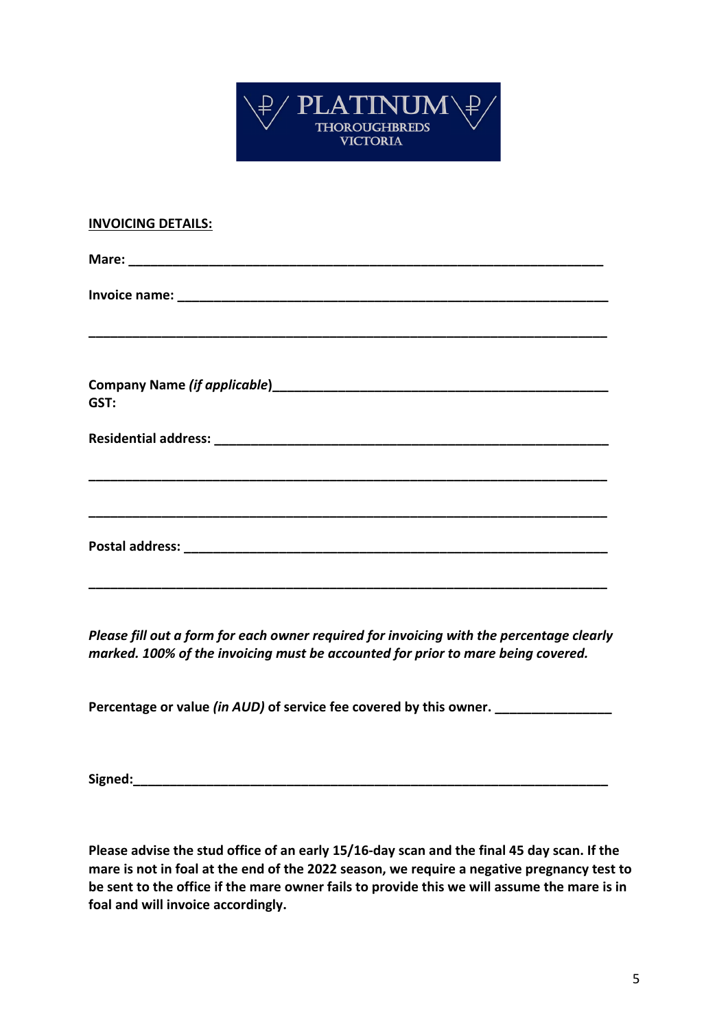

| <b>INVOICING DETAILS:</b> |
|---------------------------|
|                           |
|                           |
|                           |
| GST:                      |
|                           |
|                           |
|                           |
|                           |

*Please fill out a form for each owner required for invoicing with the percentage clearly marked. 100% of the invoicing must be accounted for prior to mare being covered.* 

Percentage or value *(in AUD)* of service fee covered by this owner.

**Signed:** 

**Please advise the stud office of an early 15/16-day scan and the final 45 day scan. If the mare is not in foal at the end of the 2022 season, we require a negative pregnancy test to be sent to the office if the mare owner fails to provide this we will assume the mare is in foal and will invoice accordingly.**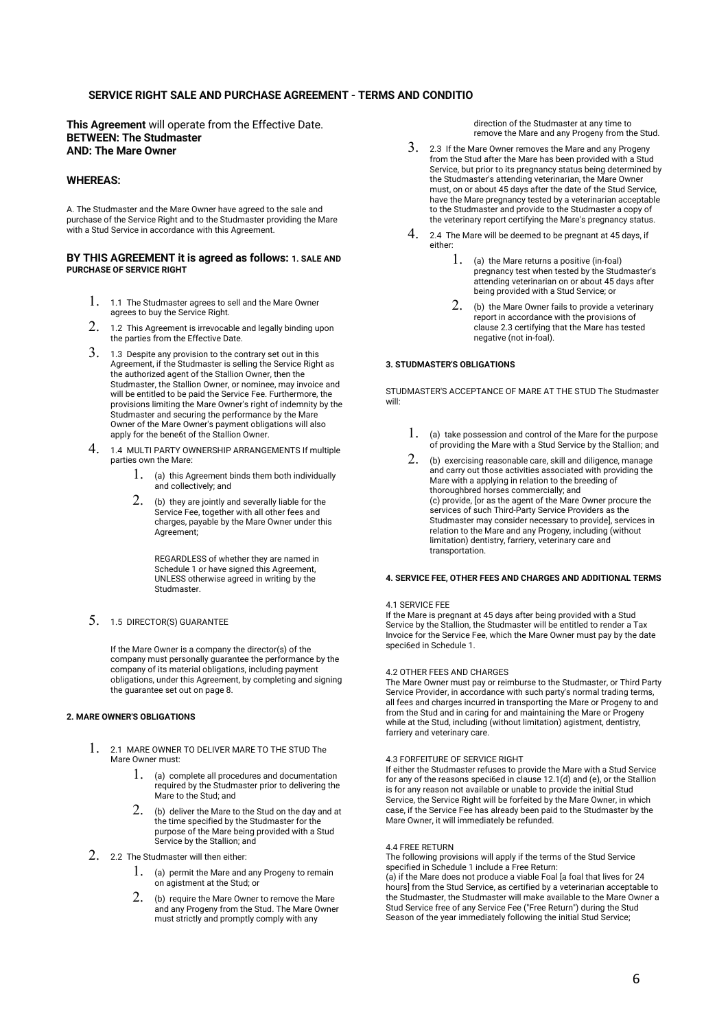## **SERVICE RIGHT SALE AND PURCHASE AGREEMENT - TERMS AND CONDITIO**

**This Agreement** will operate from the Effective Date. **BETWEEN: The Studmaster AND: The Mare Owner** 

## **WHEREAS:**

A. The Studmaster and the Mare Owner have agreed to the sale and purchase of the Service Right and to the Studmaster providing the Mare with a Stud Service in accordance with this Agreement.

### **BY THIS AGREEMENT it is agreed as follows: 1. SALE AND PURCHASE OF SERVICE RIGHT**

- 1. 1.1 The Studmaster agrees to sell and the Mare Owner agrees to buy the Service Right.
- 2. 1.2 This Agreement is irrevocable and legally binding upon the parties from the Effective Date.
- $3. \;$  1.3 Despite any provision to the contrary set out in this Agreement, if the Studmaster is selling the Service Right as the authorized agent of the Stallion Owner, then the Studmaster, the Stallion Owner, or nominee, may invoice and will be entitled to be paid the Service Fee. Furthermore, the provisions limiting the Mare Owner's right of indemnity by the Studmaster and securing the performance by the Mare Owner of the Mare Owner's payment obligations will also apply for the bene6t of the Stallion Owner.
- 4. 1.4 MULTI PARTY OWNERSHIP ARRANGEMENTS If multiple parties own the Mare:
	- 1. (a) this Agreement binds them both individually and collectively; and
	- $2.$  (b) they are jointly and severally liable for the Service Fee, together with all other fees and charges, payable by the Mare Owner under this Agreement;

REGARDLESS of whether they are named in Schedule 1 or have signed this Agreement, UNLESS otherwise agreed in writing by the **Studmaster** 

5. 1.5 DIRECTOR(S) GUARANTEE

If the Mare Owner is a company the director(s) of the company must personally guarantee the performance by the company of its material obligations, including payment obligations, under this Agreement, by completing and signing the guarantee set out on page 8.

## **2. MARE OWNER'S OBLIGATIONS**

- 1. 2.1 MARE OWNER TO DELIVER MARE TO THE STUD The Mare Owner must:
	- 1. (a) complete all procedures and documentation required by the Studmaster prior to delivering the Mare to the Stud; and
	- $2.$  (b) deliver the Mare to the Stud on the day and at the time specified by the Studmaster for the purpose of the Mare being provided with a Stud Service by the Stallion; and
- 2. 2.2 The Studmaster will then either:
	- $1.$  (a) permit the Mare and any Progeny to remain on agistment at the Stud; or
	- 2. (b) require the Mare Owner to remove the Mare and any Progeny from the Stud. The Mare Owner must strictly and promptly comply with any

direction of the Studmaster at any time to remove the Mare and any Progeny from the Stud.

- $3.23$  If the Mare Owner removes the Mare and any Progeny from the Stud after the Mare has been provided with a Stud Service, but prior to its pregnancy status being determined by the Studmaster's attending veterinarian, the Mare Owner must, on or about 45 days after the date of the Stud Service, have the Mare pregnancy tested by a veterinarian acceptable to the Studmaster and provide to the Studmaster a copy of the veterinary report certifying the Mare's pregnancy status.
- 4. 2.4 The Mare will be deemed to be pregnant at 45 days, if either:
	- 1. (a) the Mare returns a positive (in-foal) pregnancy test when tested by the Studmaster's attending veterinarian on or about 45 days after being provided with a Stud Service; or
	- 2. (b) the Mare Owner fails to provide a veterinary report in accordance with the provisions of clause 2.3 certifying that the Mare has tested negative (not in-foal).

### **3. STUDMASTER'S OBLIGATIONS**

STUDMASTER'S ACCEPTANCE OF MARE AT THE STUD The Studmaster will:

- $1.$  (a) take possession and control of the Mare for the purpose of providing the Mare with a Stud Service by the Stallion; and
- 2. (b) exercising reasonable care, skill and diligence, manage and carry out those activities associated with providing the Mare with a applying in relation to the breeding of thoroughbred horses commercially; and (c) provide, [or as the agent of the Mare Owner procure the services of such Third-Party Service Providers as the Studmaster may consider necessary to provide], services in relation to the Mare and any Progeny, including (without limitation) dentistry, farriery, veterinary care and transportation.

## **4. SERVICE FEE, OTHER FEES AND CHARGES AND ADDITIONAL TERMS**

## 4.1 SERVICE FEE

If the Mare is pregnant at 45 days after being provided with a Stud Service by the Stallion, the Studmaster will be entitled to render a Tax Invoice for the Service Fee, which the Mare Owner must pay by the date speci6ed in Schedule 1.

#### 4.2 OTHER FEES AND CHARGES

The Mare Owner must pay or reimburse to the Studmaster, or Third Party Service Provider, in accordance with such party's normal trading terms, all fees and charges incurred in transporting the Mare or Progeny to and from the Stud and in caring for and maintaining the Mare or Progeny while at the Stud, including (without limitation) agistment, dentistry, farriery and veterinary care.

### 4.3 FORFEITURE OF SERVICE RIGHT

If either the Studmaster refuses to provide the Mare with a Stud Service for any of the reasons speci6ed in clause 12.1(d) and (e), or the Stallion is for any reason not available or unable to provide the initial Stud Service, the Service Right will be forfeited by the Mare Owner, in which case, if the Service Fee has already been paid to the Studmaster by the Mare Owner, it will immediately be refunded.

#### 4.4 FREE RETURN

The following provisions will apply if the terms of the Stud Service specified in Schedule 1 include a Free Return: (a) if the Mare does not produce a viable Foal [a foal that lives for 24 hours] from the Stud Service, as certified by a veterinarian acceptable to the Studmaster, the Studmaster will make available to the Mare Owner a Stud Service free of any Service Fee ("Free Return") during the Stud Season of the year immediately following the initial Stud Service;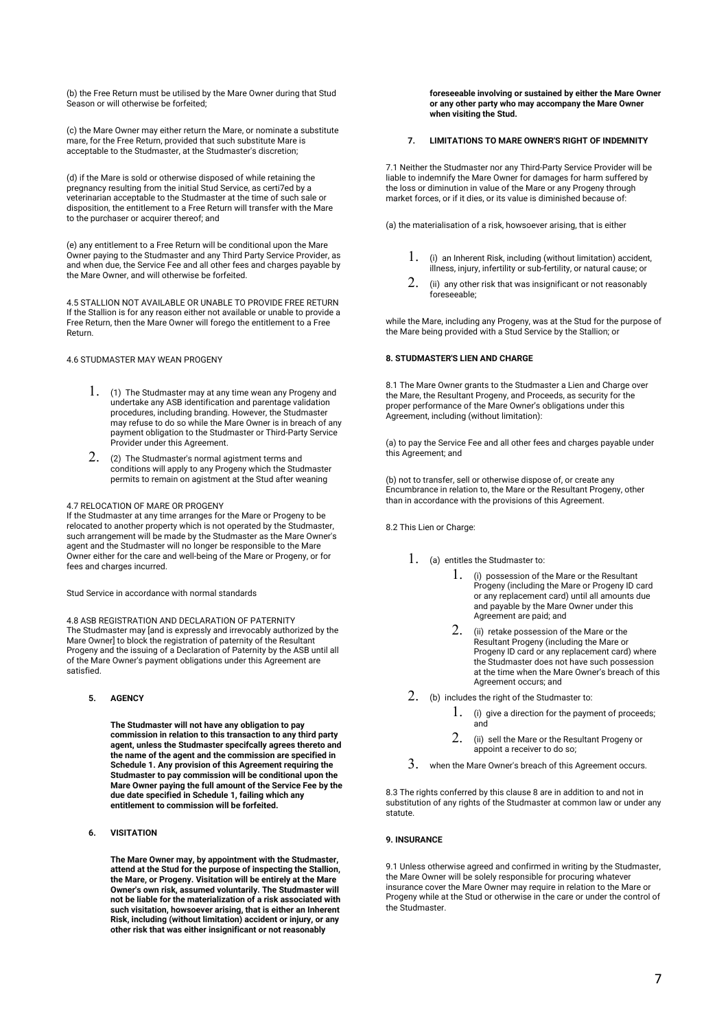(b) the Free Return must be utilised by the Mare Owner during that Stud Season or will otherwise be forfeited;

(c) the Mare Owner may either return the Mare, or nominate a substitute mare, for the Free Return, provided that such substitute Mare is acceptable to the Studmaster, at the Studmaster's discretion;

(d) if the Mare is sold or otherwise disposed of while retaining the pregnancy resulting from the initial Stud Service, as certi7ed by a veterinarian acceptable to the Studmaster at the time of such sale or disposition, the entitlement to a Free Return will transfer with the Mare to the purchaser or acquirer thereof; and

(e) any entitlement to a Free Return will be conditional upon the Mare Owner paying to the Studmaster and any Third Party Service Provider, as and when due, the Service Fee and all other fees and charges payable by the Mare Owner, and will otherwise be forfeited.

4.5 STALLION NOT AVAILABLE OR UNABLE TO PROVIDE FREE RETURN If the Stallion is for any reason either not available or unable to provide a Free Return, then the Mare Owner will forego the entitlement to a Free Return.

4.6 STUDMASTER MAY WEAN PROGENY

- 1. (1) The Studmaster may at any time wean any Progeny and undertake any ASB identification and parentage validation procedures, including branding. However, the Studmaster may refuse to do so while the Mare Owner is in breach of any payment obligation to the Studmaster or Third-Party Service Provider under this Agreement.
- $2. \hspace{2em}$  (2) The Studmaster's normal agistment terms and conditions will apply to any Progeny which the Studmaster permits to remain on agistment at the Stud after weaning

#### 4.7 RELOCATION OF MARE OR PROGENY

If the Studmaster at any time arranges for the Mare or Progeny to be relocated to another property which is not operated by the Studmaster, such arrangement will be made by the Studmaster as the Mare Owner's agent and the Studmaster will no longer be responsible to the Mare Owner either for the care and well-being of the Mare or Progeny, or for fees and charges incurred.

Stud Service in accordance with normal standards

4.8 ASB REGISTRATION AND DECLARATION OF PATERNITY The Studmaster may [and is expressly and irrevocably authorized by the Mare Owner] to block the registration of paternity of the Resultant Progeny and the issuing of a Declaration of Paternity by the ASB until all of the Mare Owner's payment obligations under this Agreement are satisfied.

**5. AGENCY** 

**The Studmaster will not have any obligation to pay commission in relation to this transaction to any third party agent, unless the Studmaster specifcally agrees thereto and the name of the agent and the commission are specified in Schedule 1. Any provision of this Agreement requiring the Studmaster to pay commission will be conditional upon the Mare Owner paying the full amount of the Service Fee by the due date specified in Schedule 1, failing which any entitlement to commission will be forfeited.** 

**6. VISITATION** 

**The Mare Owner may, by appointment with the Studmaster, attend at the Stud for the purpose of inspecting the Stallion, the Mare, or Progeny. Visitation will be entirely at the Mare Owner's own risk, assumed voluntarily. The Studmaster will not be liable for the materialization of a risk associated with such visitation, howsoever arising, that is either an Inherent Risk, including (without limitation) accident or injury, or any other risk that was either insignificant or not reasonably** 

**foreseeable involving or sustained by either the Mare Owner or any other party who may accompany the Mare Owner when visiting the Stud.** 

### **7. LIMITATIONS TO MARE OWNER'S RIGHT OF INDEMNITY**

7.1 Neither the Studmaster nor any Third-Party Service Provider will be liable to indemnify the Mare Owner for damages for harm suffered by the loss or diminution in value of the Mare or any Progeny through market forces, or if it dies, or its value is diminished because of:

(a) the materialisation of a risk, howsoever arising, that is either

- $1.$  (i) an Inherent Risk, including (without limitation) accident, illness, injury, infertility or sub-fertility, or natural cause; or
- $2.$  (ii) any other risk that was insignificant or not reasonably foreseeable;

while the Mare, including any Progeny, was at the Stud for the purpose of the Mare being provided with a Stud Service by the Stallion; or

## **8. STUDMASTER'S LIEN AND CHARGE**

8.1 The Mare Owner grants to the Studmaster a Lien and Charge over the Mare, the Resultant Progeny, and Proceeds, as security for the proper performance of the Mare Owner's obligations under this Agreement, including (without limitation):

(a) to pay the Service Fee and all other fees and charges payable under this Agreement; and

(b) not to transfer, sell or otherwise dispose of, or create any Encumbrance in relation to, the Mare or the Resultant Progeny, other than in accordance with the provisions of this Agreement.

8.2 This Lien or Charge:

- $1.$  (a) entitles the Studmaster to:
	- 1. (i) possession of the Mare or the Resultant Progeny (including the Mare or Progeny ID card or any replacement card) until all amounts due and payable by the Mare Owner under this Agreement are paid; and
	- 2. (ii) retake possession of the Mare or the Resultant Progeny (including the Mare or Progeny ID card or any replacement card) where the Studmaster does not have such possession at the time when the Mare Owner's breach of this Agreement occurs; and
- 2. (b) includes the right of the Studmaster to:
	- $1.$  (i) give a direction for the payment of proceeds; and
	- $2.$  (ii) sell the Mare or the Resultant Progeny or appoint a receiver to do so;
- 3. when the Mare Owner's breach of this Agreement occurs.

8.3 The rights conferred by this clause 8 are in addition to and not in substitution of any rights of the Studmaster at common law or under any statute.

## **9. INSURANCE**

9.1 Unless otherwise agreed and confirmed in writing by the Studmaster, the Mare Owner will be solely responsible for procuring whatever insurance cover the Mare Owner may require in relation to the Mare or Progeny while at the Stud or otherwise in the care or under the control of the Studmaster.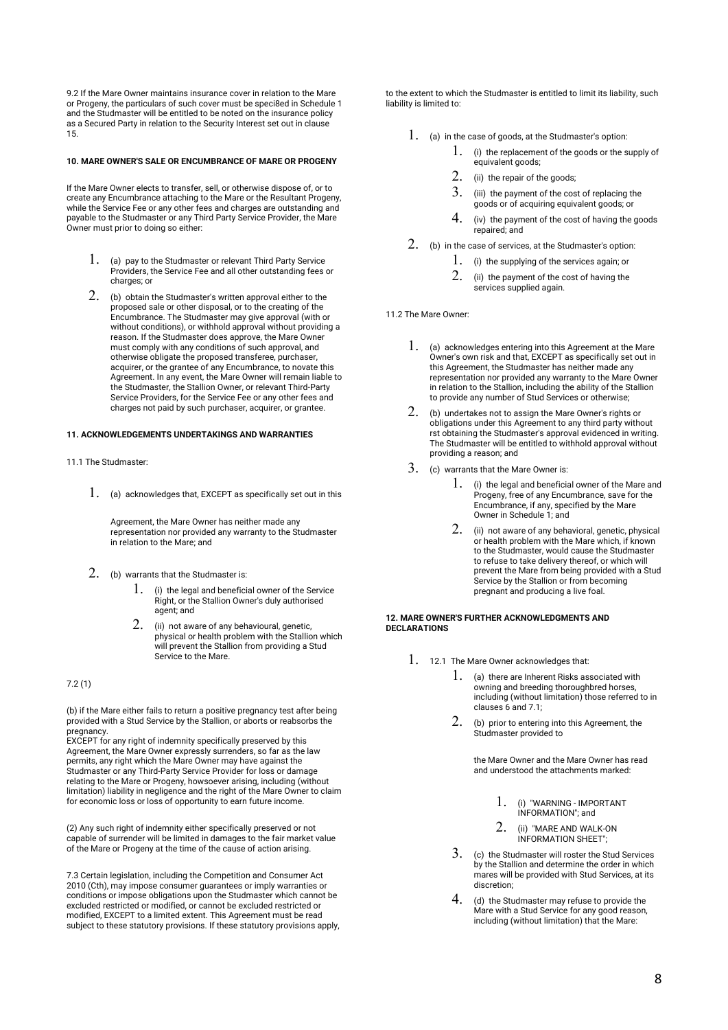9.2 If the Mare Owner maintains insurance cover in relation to the Mare or Progeny, the particulars of such cover must be speci8ed in Schedule 1 and the Studmaster will be entitled to be noted on the insurance policy as a Secured Party in relation to the Security Interest set out in clause 15.

## **10. MARE OWNER'S SALE OR ENCUMBRANCE OF MARE OR PROGENY**

If the Mare Owner elects to transfer, sell, or otherwise dispose of, or to create any Encumbrance attaching to the Mare or the Resultant Progeny, while the Service Fee or any other fees and charges are outstanding and payable to the Studmaster or any Third Party Service Provider, the Mare Owner must prior to doing so either:

- 1. (a) pay to the Studmaster or relevant Third Party Service Providers, the Service Fee and all other outstanding fees or charges; or
- $2.$  (b) obtain the Studmaster's written approval either to the proposed sale or other disposal, or to the creating of the Encumbrance. The Studmaster may give approval (with or without conditions), or withhold approval without providing a reason. If the Studmaster does approve, the Mare Owner must comply with any conditions of such approval, and otherwise obligate the proposed transferee, purchaser, acquirer, or the grantee of any Encumbrance, to novate this Agreement. In any event, the Mare Owner will remain liable to the Studmaster, the Stallion Owner, or relevant Third-Party Service Providers, for the Service Fee or any other fees and charges not paid by such purchaser, acquirer, or grantee.

## **11. ACKNOWLEDGEMENTS UNDERTAKINGS AND WARRANTIES**

## 11.1 The Studmaster:

 $1.$  (a) acknowledges that, EXCEPT as specifically set out in this

Agreement, the Mare Owner has neither made any representation nor provided any warranty to the Studmaster in relation to the Mare; and

- 2. (b) warrants that the Studmaster is:
	- 1. (i) the legal and beneficial owner of the Service Right, or the Stallion Owner's duly authorised agent; and
	- $2.$  (ii) not aware of any behavioural, genetic, physical or health problem with the Stallion which will prevent the Stallion from providing a Stud Service to the Mare.

7.2 (1)

(b) if the Mare either fails to return a positive pregnancy test after being provided with a Stud Service by the Stallion, or aborts or reabsorbs the pregnancy.

EXCEPT for any right of indemnity specifically preserved by this Agreement, the Mare Owner expressly surrenders, so far as the law permits, any right which the Mare Owner may have against the Studmaster or any Third-Party Service Provider for loss or damage relating to the Mare or Progeny, howsoever arising, including (without limitation) liability in negligence and the right of the Mare Owner to claim for economic loss or loss of opportunity to earn future income.

(2) Any such right of indemnity either specifically preserved or not capable of surrender will be limited in damages to the fair market value of the Mare or Progeny at the time of the cause of action arising.

7.3 Certain legislation, including the Competition and Consumer Act 2010 (Cth), may impose consumer guarantees or imply warranties or conditions or impose obligations upon the Studmaster which cannot be excluded restricted or modified, or cannot be excluded restricted or modified, EXCEPT to a limited extent. This Agreement must be read subject to these statutory provisions. If these statutory provisions apply, to the extent to which the Studmaster is entitled to limit its liability, such liability is limited to:

1. (a) in the case of goods, at the Studmaster's option:

- $1.$  (i) the replacement of the goods or the supply of equivalent goods;
- 2. (ii) the repair of the goods;
- $3.$  (iii) the payment of the cost of replacing the goods or of acquiring equivalent goods; or
- 4. (iv) the payment of the cost of having the goods repaired; and
- 2. (b) in the case of services, at the Studmaster's option:
	- 1. (i) the supplying of the services again; or
	- 2. (ii) the payment of the cost of having the services supplied again.

11.2 The Mare Owner:

- $1.$  (a) acknowledges entering into this Agreement at the Mare Owner's own risk and that, EXCEPT as specifically set out in this Agreement, the Studmaster has neither made any representation nor provided any warranty to the Mare Owner in relation to the Stallion, including the ability of the Stallion to provide any number of Stud Services or otherwise;
- $2.$  (b) undertakes not to assign the Mare Owner's rights or obligations under this Agreement to any third party without rst obtaining the Studmaster's approval evidenced in writing. The Studmaster will be entitled to withhold approval without providing a reason; and
- 3. (c) warrants that the Mare Owner is:
	- 1. (i) the legal and beneficial owner of the Mare and Progeny, free of any Encumbrance, save for the Encumbrance, if any, specified by the Mare Owner in Schedule 1; and
	- 2. (ii) not aware of any behavioral, genetic, physical or health problem with the Mare which, if known to the Studmaster, would cause the Studmaster to refuse to take delivery thereof, or which will prevent the Mare from being provided with a Stud Service by the Stallion or from becoming pregnant and producing a live foal.

#### **12. MARE OWNER'S FURTHER ACKNOWLEDGMENTS AND DECLARATIONS**

- 1. 12.1 The Mare Owner acknowledges that:
	- $1.$  (a) there are Inherent Risks associated with owning and breeding thoroughbred horses, including (without limitation) those referred to in clauses 6 and 7.1;
	- 2. (b) prior to entering into this Agreement, the Studmaster provided to

the Mare Owner and the Mare Owner has read and understood the attachments marked:

- 1. (i) "WARNING IMPORTANT INFORMATION"; and
- 2. (ii) "MARE AND WALK-ON INFORMATION SHEET";
- 3. (c) the Studmaster will roster the Stud Services by the Stallion and determine the order in which mares will be provided with Stud Services, at its discretion;
- 4. (d) the Studmaster may refuse to provide the Mare with a Stud Service for any good reason, including (without limitation) that the Mare: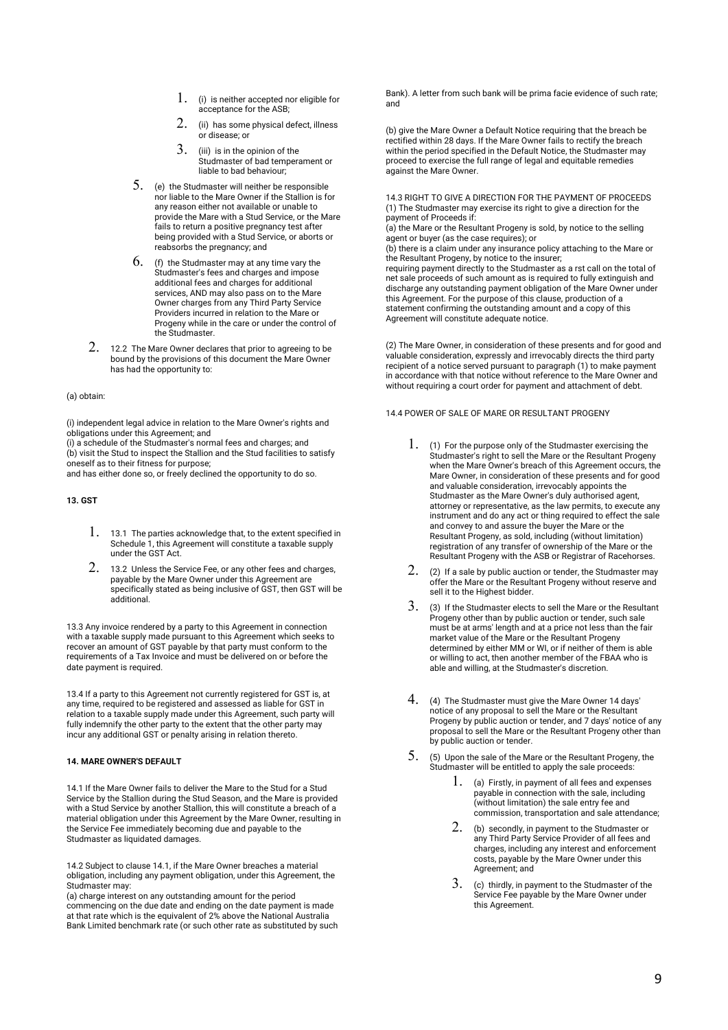- $1.$  (i) is neither accepted nor eligible for acceptance for the ASB;
- $2.$  (ii) has some physical defect, illness or disease; or
- $3.$  (iii) is in the opinion of the Studmaster of bad temperament or liable to bad behaviour;
- $5.$  (e) the Studmaster will neither be responsible nor liable to the Mare Owner if the Stallion is for any reason either not available or unable to provide the Mare with a Stud Service, or the Mare fails to return a positive pregnancy test after being provided with a Stud Service, or aborts or reabsorbs the pregnancy; and
- $6.$  (f) the Studmaster may at any time vary the Studmaster's fees and charges and impose additional fees and charges for additional services, AND may also pass on to the Mare Owner charges from any Third Party Service Providers incurred in relation to the Mare or Progeny while in the care or under the control of the Studmaster.
- 2. 12.2 The Mare Owner declares that prior to agreeing to be bound by the provisions of this document the Mare Owner has had the opportunity to:

## (a) obtain:

(i) independent legal advice in relation to the Mare Owner's rights and obligations under this Agreement; and

(i) a schedule of the Studmaster's normal fees and charges; and (b) visit the Stud to inspect the Stallion and the Stud facilities to satisfy oneself as to their fitness for purpose;

and has either done so, or freely declined the opportunity to do so.

**13. GST** 

- $1.$  13.1 The parties acknowledge that, to the extent specified in Schedule 1, this Agreement will constitute a taxable supply under the GST Act.
- 2. 13.2 Unless the Service Fee, or any other fees and charges, payable by the Mare Owner under this Agreement are specifically stated as being inclusive of GST, then GST will be additional.

13.3 Any invoice rendered by a party to this Agreement in connection with a taxable supply made pursuant to this Agreement which seeks to recover an amount of GST payable by that party must conform to the requirements of a Tax Invoice and must be delivered on or before the date payment is required.

13.4 If a party to this Agreement not currently registered for GST is, at any time, required to be registered and assessed as liable for GST in relation to a taxable supply made under this Agreement, such party will fully indemnify the other party to the extent that the other party may incur any additional GST or penalty arising in relation thereto.

#### **14. MARE OWNER'S DEFAULT**

14.1 If the Mare Owner fails to deliver the Mare to the Stud for a Stud Service by the Stallion during the Stud Season, and the Mare is provided with a Stud Service by another Stallion, this will constitute a breach of a material obligation under this Agreement by the Mare Owner, resulting in the Service Fee immediately becoming due and payable to the Studmaster as liquidated damages.

14.2 Subject to clause 14.1, if the Mare Owner breaches a material obligation, including any payment obligation, under this Agreement, the Studmaster may:

(a) charge interest on any outstanding amount for the period commencing on the due date and ending on the date payment is made at that rate which is the equivalent of 2% above the National Australia Bank Limited benchmark rate (or such other rate as substituted by such Bank). A letter from such bank will be prima facie evidence of such rate; and

(b) give the Mare Owner a Default Notice requiring that the breach be rectified within 28 days. If the Mare Owner fails to rectify the breach within the period specified in the Default Notice, the Studmaster may proceed to exercise the full range of legal and equitable remedies against the Mare Owner.

14.3 RIGHT TO GIVE A DIRECTION FOR THE PAYMENT OF PROCEEDS (1) The Studmaster may exercise its right to give a direction for the payment of Proceeds if:

(a) the Mare or the Resultant Progeny is sold, by notice to the selling agent or buyer (as the case requires); or

(b) there is a claim under any insurance policy attaching to the Mare or the Resultant Progeny, by notice to the insurer;

requiring payment directly to the Studmaster as a rst call on the total of net sale proceeds of such amount as is required to fully extinguish and discharge any outstanding payment obligation of the Mare Owner under this Agreement. For the purpose of this clause, production of a statement confirming the outstanding amount and a copy of this Agreement will constitute adequate notice.

(2) The Mare Owner, in consideration of these presents and for good and valuable consideration, expressly and irrevocably directs the third party recipient of a notice served pursuant to paragraph (1) to make payment in accordance with that notice without reference to the Mare Owner and without requiring a court order for payment and attachment of debt.

14.4 POWER OF SALE OF MARE OR RESULTANT PROGENY

- 1. (1) For the purpose only of the Studmaster exercising the Studmaster's right to sell the Mare or the Resultant Progeny when the Mare Owner's breach of this Agreement occurs, the Mare Owner, in consideration of these presents and for good and valuable consideration, irrevocably appoints the Studmaster as the Mare Owner's duly authorised agent, attorney or representative, as the law permits, to execute any instrument and do any act or thing required to effect the sale and convey to and assure the buyer the Mare or the Resultant Progeny, as sold, including (without limitation) registration of any transfer of ownership of the Mare or the Resultant Progeny with the ASB or Registrar of Racehorses.
- $2.$  (2) If a sale by public auction or tender, the Studmaster may offer the Mare or the Resultant Progeny without reserve and sell it to the Highest bidder.
- 3. (3) If the Studmaster elects to sell the Mare or the Resultant Progeny other than by public auction or tender, such sale must be at arms' length and at a price not less than the fair market value of the Mare or the Resultant Progeny determined by either MM or WI, or if neither of them is able or willing to act, then another member of the FBAA who is able and willing, at the Studmaster's discretion.
- 4. (4) The Studmaster must give the Mare Owner 14 days' notice of any proposal to sell the Mare or the Resultant Progeny by public auction or tender, and 7 days' notice of any proposal to sell the Mare or the Resultant Progeny other than by public auction or tender.
- 5. (5) Upon the sale of the Mare or the Resultant Progeny, the Studmaster will be entitled to apply the sale proceeds:
	- 1. (a) Firstly, in payment of all fees and expenses payable in connection with the sale, including (without limitation) the sale entry fee and commission, transportation and sale attendance;
	- 2. (b) secondly, in payment to the Studmaster or any Third Party Service Provider of all fees and charges, including any interest and enforcement costs, payable by the Mare Owner under this Agreement; and
	- 3. (c) thirdly, in payment to the Studmaster of the Service Fee payable by the Mare Owner under this Agreement.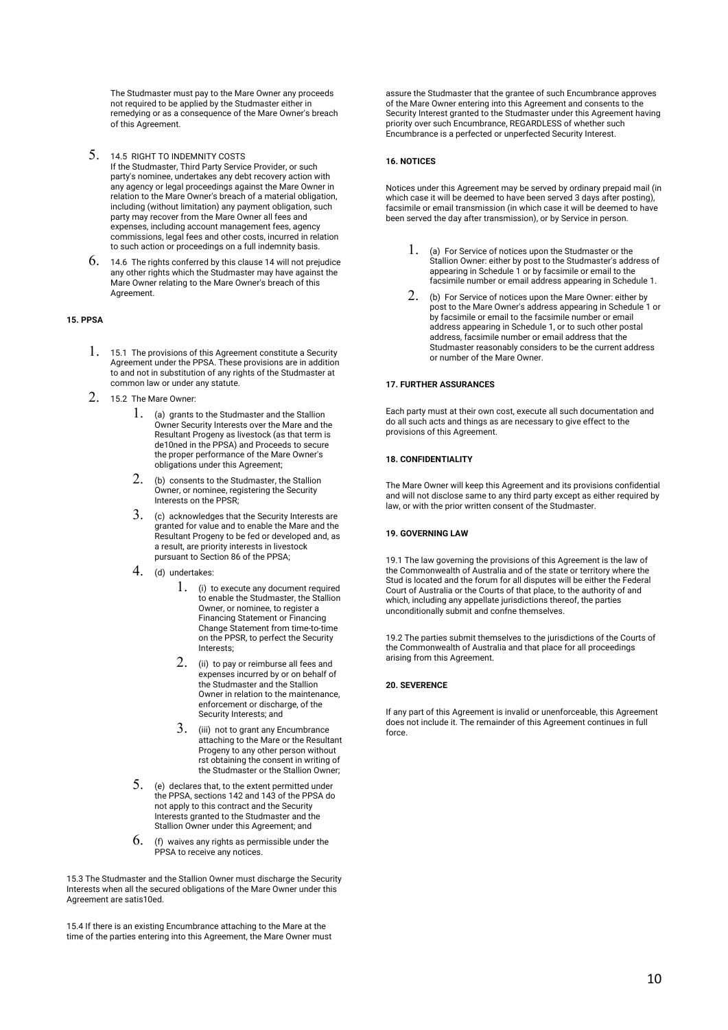The Studmaster must pay to the Mare Owner any proceeds not required to be applied by the Studmaster either in remedying or as a consequence of the Mare Owner's breach of this Agreement.

- 5. 14.5 RIGHT TO INDEMNITY COSTS If the Studmaster, Third Party Service Provider, or such party's nominee, undertakes any debt recovery action with any agency or legal proceedings against the Mare Owner in relation to the Mare Owner's breach of a material obligation, including (without limitation) any payment obligation, such party may recover from the Mare Owner all fees and expenses, including account management fees, agency commissions, legal fees and other costs, incurred in relation to such action or proceedings on a full indemnity basis.
- $6.$  14.6 The rights conferred by this clause 14 will not prejudice any other rights which the Studmaster may have against the Mare Owner relating to the Mare Owner's breach of this **Agreement**

## **15. PPSA**

- 1. 15.1 The provisions of this Agreement constitute a Security Agreement under the PPSA. These provisions are in addition to and not in substitution of any rights of the Studmaster at common law or under any statute.
- 2. 15.2 The Mare Owner:
	- 1. (a) grants to the Studmaster and the Stallion Owner Security Interests over the Mare and the Resultant Progeny as livestock (as that term is de10ned in the PPSA) and Proceeds to secure the proper performance of the Mare Owner's obligations under this Agreement;
	- 2. (b) consents to the Studmaster, the Stallion Owner, or nominee, registering the Security Interests on the PPSR;
	- $3.$  (c) acknowledges that the Security Interests are granted for value and to enable the Mare and the Resultant Progeny to be fed or developed and, as a result, are priority interests in livestock pursuant to Section 86 of the PPSA;
	- 4. (d) undertakes:
		- 1. (i) to execute any document required to enable the Studmaster, the Stallion Owner, or nominee, to register a Financing Statement or Financing Change Statement from time-to-time on the PPSR, to perfect the Security Interests;
		- 2. (ii) to pay or reimburse all fees and expenses incurred by or on behalf of the Studmaster and the Stallion Owner in relation to the maintenance, enforcement or discharge, of the Security Interests; and
		- 3. (iii) not to grant any Encumbrance attaching to the Mare or the Resultant Progeny to any other person without rst obtaining the consent in writing of the Studmaster or the Stallion Owner;
	- $5.$  (e) declares that, to the extent permitted under the PPSA, sections 142 and 143 of the PPSA do not apply to this contract and the Security Interests granted to the Studmaster and the Stallion Owner under this Agreement; and
	- $6.$  (f) waives any rights as permissible under the PPSA to receive any notices.

15.3 The Studmaster and the Stallion Owner must discharge the Security Interests when all the secured obligations of the Mare Owner under this Agreement are satis10ed.

15.4 If there is an existing Encumbrance attaching to the Mare at the time of the parties entering into this Agreement, the Mare Owner must assure the Studmaster that the grantee of such Encumbrance approves of the Mare Owner entering into this Agreement and consents to the Security Interest granted to the Studmaster under this Agreement having priority over such Encumbrance, REGARDLESS of whether such Encumbrance is a perfected or unperfected Security Interest.

#### **16. NOTICES**

Notices under this Agreement may be served by ordinary prepaid mail (in which case it will be deemed to have been served 3 days after posting). facsimile or email transmission (in which case it will be deemed to have been served the day after transmission), or by Service in person.

- $1.$  (a) For Service of notices upon the Studmaster or the Stallion Owner: either by post to the Studmaster's address of appearing in Schedule 1 or by facsimile or email to the facsimile number or email address appearing in Schedule 1.
- $2.$  (b) For Service of notices upon the Mare Owner: either by post to the Mare Owner's address appearing in Schedule 1 or by facsimile or email to the facsimile number or email address appearing in Schedule 1, or to such other postal address, facsimile number or email address that the Studmaster reasonably considers to be the current address or number of the Mare Owner.

## **17. FURTHER ASSURANCES**

Each party must at their own cost, execute all such documentation and do all such acts and things as are necessary to give effect to the provisions of this Agreement.

## **18. CONFIDENTIALITY**

The Mare Owner will keep this Agreement and its provisions confidential and will not disclose same to any third party except as either required by law, or with the prior written consent of the Studmaster.

## **19. GOVERNING LAW**

19.1 The law governing the provisions of this Agreement is the law of the Commonwealth of Australia and of the state or territory where the Stud is located and the forum for all disputes will be either the Federal Court of Australia or the Courts of that place, to the authority of and which, including any appellate jurisdictions thereof, the parties unconditionally submit and confne themselves.

19.2 The parties submit themselves to the jurisdictions of the Courts of the Commonwealth of Australia and that place for all proceedings arising from this Agreement.

## **20. SEVERENCE**

If any part of this Agreement is invalid or unenforceable, this Agreement does not include it. The remainder of this Agreement continues in full force.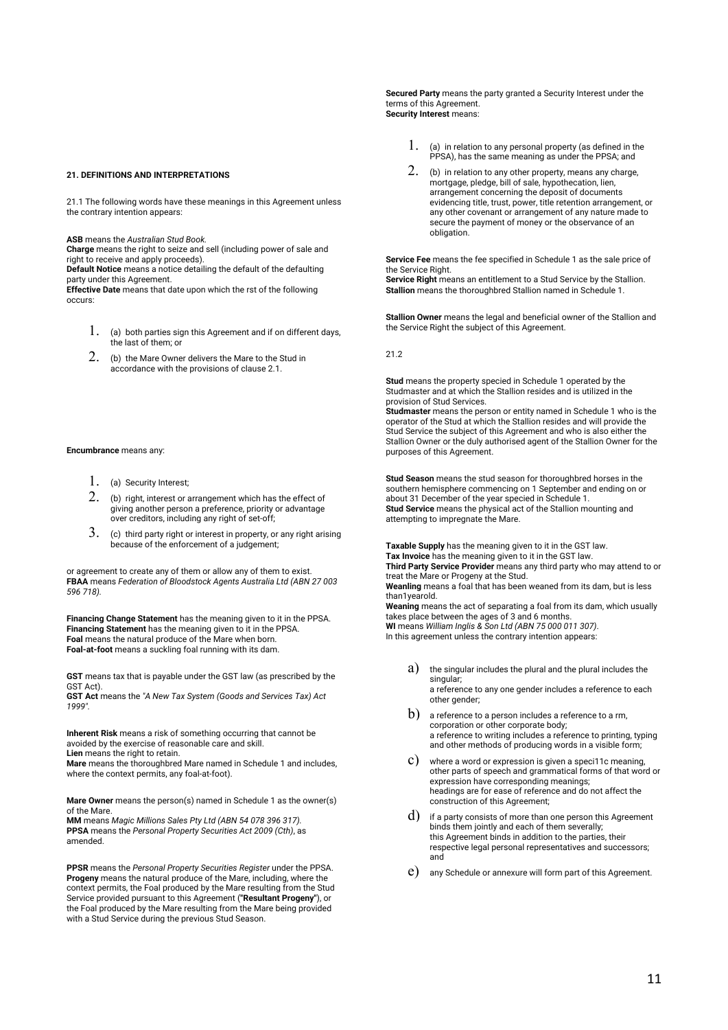**Secured Party** means the party granted a Security Interest under the terms of this Agreement. **Security Interest** means:

## **21. DEFINITIONS AND INTERPRETATIONS**

21.1 The following words have these meanings in this Agreement unless the contrary intention appears:

**ASB** means the *Australian Stud Book.*

**Charge** means the right to seize and sell (including power of sale and right to receive and apply proceeds).

**Default Notice** means a notice detailing the default of the defaulting party under this Agreement.

**Effective Date** means that date upon which the rst of the following occurs:

- $1.$  (a) both parties sign this Agreement and if on different days, the last of them; or
- 2. (b) the Mare Owner delivers the Mare to the Stud in accordance with the provisions of clause 2.1.

#### **Encumbrance** means any:

- 1. (a) Security Interest;
- $2.$  (b) right, interest or arrangement which has the effect of giving another person a preference, priority or advantage over creditors, including any right of set-off;
- $3.$  (c) third party right or interest in property, or any right arising because of the enforcement of a judgement;

or agreement to create any of them or allow any of them to exist. **FBAA** means *Federation of Bloodstock Agents Australia Ltd (ABN 27 003 596 718).* 

**Financing Change Statement** has the meaning given to it in the PPSA. **Financing Statement** has the meaning given to it in the PPSA. **Foal** means the natural produce of the Mare when born. **Foal-at-foot** means a suckling foal running with its dam.

**GST** means tax that is payable under the GST law (as prescribed by the GST Act).

**GST Act** means the *"A New Tax System (Goods and Services Tax) Act 1999".* 

**Inherent Risk** means a risk of something occurring that cannot be avoided by the exercise of reasonable care and skill. **Lien** means the right to retain.

**Mare** means the thoroughbred Mare named in Schedule 1 and includes, where the context permits, any foal-at-foot).

**Mare Owner** means the person(s) named in Schedule 1 as the owner(s) of the Mare.

**MM** means *Magic Millions Sales Pty Ltd (ABN 54 078 396 317).* **PPSA** means the *Personal Property Securities Act 2009 (Cth)*, as amended.

**PPSR** means the *Personal Property Securities Register* under the PPSA. **Progeny** means the natural produce of the Mare, including, where the context permits, the Foal produced by the Mare resulting from the Stud Service provided pursuant to this Agreement (**"Resultant Progeny"**), or the Foal produced by the Mare resulting from the Mare being provided with a Stud Service during the previous Stud Season.

- 1. (a) in relation to any personal property (as defined in the PPSA), has the same meaning as under the PPSA; and
- $2.$  (b) in relation to any other property, means any charge, mortgage, pledge, bill of sale, hypothecation, lien, arrangement concerning the deposit of documents evidencing title, trust, power, title retention arrangement, or any other covenant or arrangement of any nature made to secure the payment of money or the observance of an obligation.

**Service Fee** means the fee specified in Schedule 1 as the sale price of the Service Right. **Service Right** means an entitlement to a Stud Service by the Stallion.

**Stallion** means the thoroughbred Stallion named in Schedule 1.

**Stallion Owner** means the legal and beneficial owner of the Stallion and the Service Right the subject of this Agreement.

21.2

**Stud** means the property specied in Schedule 1 operated by the Studmaster and at which the Stallion resides and is utilized in the provision of Stud Services.

**Studmaster** means the person or entity named in Schedule 1 who is the operator of the Stud at which the Stallion resides and will provide the Stud Service the subject of this Agreement and who is also either the Stallion Owner or the duly authorised agent of the Stallion Owner for the purposes of this Agreement.

**Stud Season** means the stud season for thoroughbred horses in the southern hemisphere commencing on 1 September and ending on or about 31 December of the year specied in Schedule 1. **Stud Service** means the physical act of the Stallion mounting and attempting to impregnate the Mare.

**Taxable Supply** has the meaning given to it in the GST law. **Tax Invoice** has the meaning given to it in the GST law. **Third Party Service Provider** means any third party who may attend to or treat the Mare or Progeny at the Stud. **Weanling** means a foal that has been weaned from its dam, but is less than1yearold.

**Weaning** means the act of separating a foal from its dam, which usually takes place between the ages of 3 and 6 months. **WI** means *William Inglis & Son Ltd (ABN 75 000 011 307)*. In this agreement unless the contrary intention appears:

 $a)$  the singular includes the plural and the plural includes the singular: a reference to any one gender includes a reference to each

other gender;  $\rm(b)$  a reference to a person includes a reference to a rm, corporation or other corporate body; a reference to writing includes a reference to printing, typing and other methods of producing words in a visible form;

- c) where a word or expression is given a speci11c meaning, other parts of speech and grammatical forms of that word or expression have corresponding meanings; headings are for ease of reference and do not affect the construction of this Agreement;
- $\mathbf d$ ) if a party consists of more than one person this Agreement binds them jointly and each of them severally; this Agreement binds in addition to the parties, their respective legal personal representatives and successors; and
- e) any Schedule or annexure will form part of this Agreement.